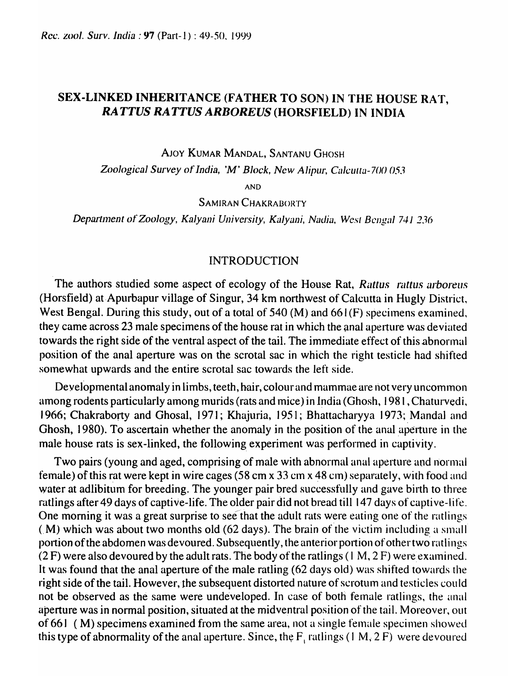## SEX-LINKED INHERITANCE (FATHER TO SON) IN THE HOUSE RA'T, RATTUS RATTUS ARBOREUS (HORSFIELD) IN INDIA

AJOY KUMAR MANDAL, SANTANU GHOSH

*Zoological Survey of India, 'M' Block, New Alipur, Calcutta-700 053* 

AND

SAMIRAN CHAKRABORTY

Department of *Zoology, Kalyani University, Kalyani, Nadia, West Bengal 741 236* 

## INTRODUCTION

The authors studied some aspect of ecology of the House Rat, *Rattus rattus arboreus* (Horsfield) at Apurbapur village of Singur, 34 km northwest of Calcutta in Hugly District, West Bengal. During this study, out of a total of 540 (M) and  $661(F)$  specimens examined, they came across 23 male specimens of the house rat in which the anal aperture was deviated towards the right side of the ventral aspect of the tail. The immediate effect of this abnormal position of the anal aperture was on the scrotal sac in which the right testicle had shifted somewhat upwards and the entire scrotal sac towards the left side.

Deyelopmental anomaly in limbs, teeth, hair, colour and mammae are not very uncommon among rodents particularly among murids (rats and mice) in India (Ghosh, 1981, Chaturvedi, 1966; Chakraborty and Ghosal, 1971; Khajuria, 1951; Bhattacharyya 1973; Mandal and Ghosh, 1980). To ascertain whether the anomaly in the position of the anal aperture in the male house rats is sex-linked, the following experiment was performed in captivity.

Two pairs (young and aged, comprising of male with abnormal anal aperture and normal female) of this rat were kept in wire cages (58 cm x 33 cm x 48 cm) separately, with food and water at adlibitum for breeding. The younger pair bred successfully and gave birth to three ratlings after 49 days of captive-life. The older pair did not bread till 147 days of captive-life. One morning it was a great surprise to see'that the adult rats were eating one of the ratlings  $(M)$  which was about two months old (62 days). The brain of the victim including a small portion of the abdomen was devoured. Subsequently, the anterior portion of other two ratlings  $(2 F)$  were also devoured by the adult rats. The body of the ratlings (1 M, 2 F) were examined. It was found that the anal aperture of the male ratling (62 days old) was shifted towards the right side of the tail. However, the subsequent distorted nature of scrotum and testicles could not be observed as the same were undeveloped. In case of both female ratlings, the anal aperture was in normal position, situated at the midventral position of the tail. Moreover, out of 661 (M) specimens examined from the same area, not a single female specimen showed this type of abnormality of the anal aperture. Since, the  $F_1$  ratlings (1 M, 2 F) were devoured